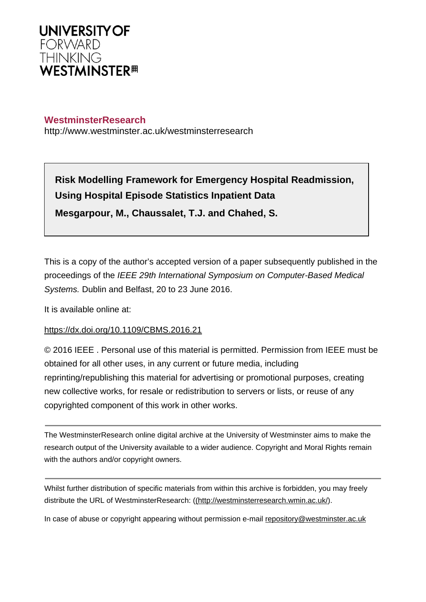

# **WestminsterResearch**

http://www.westminster.ac.uk/westminsterresearch

**Risk Modelling Framework for Emergency Hospital Readmission, Using Hospital Episode Statistics Inpatient Data Mesgarpour, M., Chaussalet, T.J. and Chahed, S.**

This is a copy of the author's accepted version of a paper subsequently published in the proceedings of the IEEE 29th International Symposium on Computer-Based Medical Systems. Dublin and Belfast, 20 to 23 June 2016.

It is available online at:

## <https://dx.doi.org/10.1109/CBMS.2016.21>

© 2016 IEEE . Personal use of this material is permitted. Permission from IEEE must be obtained for all other uses, in any current or future media, including reprinting/republishing this material for advertising or promotional purposes, creating new collective works, for resale or redistribution to servers or lists, or reuse of any copyrighted component of this work in other works.

The WestminsterResearch online digital archive at the University of Westminster aims to make the research output of the University available to a wider audience. Copyright and Moral Rights remain with the authors and/or copyright owners.

Whilst further distribution of specific materials from within this archive is forbidden, you may freely distribute the URL of WestminsterResearch: [\(\(http://westminsterresearch.wmin.ac.uk/](http://westminsterresearch.wmin.ac.uk/)).

In case of abuse or copyright appearing without permission e-mail <repository@westminster.ac.uk>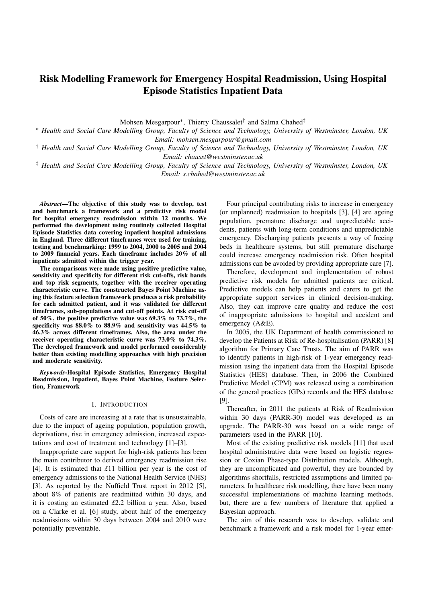# Risk Modelling Framework for Emergency Hospital Readmission, Using Hospital Episode Statistics Inpatient Data

Mohsen Mesgarpour<sup>\*</sup>, Thierry Chaussalet<sup>†</sup> and Salma Chahed<sup>‡</sup>

⇤ *Health and Social Care Modelling Group, Faculty of Science and Technology, University of Westminster, London, UK Email: mohsen.mesgarpour@gmail.com*

*† Health and Social Care Modelling Group, Faculty of Science and Technology, University of Westminster, London, UK Email: chausst@westminster.ac.uk*

*‡ Health and Social Care Modelling Group, Faculty of Science and Technology, University of Westminster, London, UK Email: s.chahed@westminster.ac.uk*

*Abstract*—The objective of this study was to develop, test and benchmark a framework and a predictive risk model for hospital emergency readmission within 12 months. We performed the development using routinely collected Hospital Episode Statistics data covering inpatient hospital admissions in England. Three different timeframes were used for training, testing and benchmarking: 1999 to 2004, 2000 to 2005 and 2004 to 2009 financial years. Each timeframe includes 20% of all inpatients admitted within the trigger year.

The comparisons were made using positive predictive value, sensitivity and specificity for different risk cut-offs, risk bands and top risk segments, together with the receiver operating characteristic curve. The constructed Bayes Point Machine using this feature selection framework produces a risk probability for each admitted patient, and it was validated for different timeframes, sub-populations and cut-off points. At risk cut-off of 50%, the positive predictive value was 69.3% to 73.7%, the specificity was 88.0% to 88.9% and sensitivity was 44.5% to 46.3% across different timeframes. Also, the area under the receiver operating characteristic curve was 73.0% to 74.3%. The developed framework and model performed considerably better than existing modelling approaches with high precision and moderate sensitivity.

*Keywords*-Hospital Episode Statistics, Emergency Hospital Readmission, Inpatient, Bayes Point Machine, Feature Selection, Framework

### I. INTRODUCTION

Costs of care are increasing at a rate that is unsustainable, due to the impact of ageing population, population growth, deprivations, rise in emergency admission, increased expectations and cost of treatment and technology [1]–[3].

Inappropriate care support for high-risk patients has been the main contributor to derived emergency readmission rise [4]. It is estimated that *£*11 billion per year is the cost of emergency admissions to the National Health Service (NHS) [3]. As reported by the Nuffield Trust report in 2012 [5], about 8% of patients are readmitted within 30 days, and it is costing an estimated *£*2.2 billion a year. Also, based on a Clarke et al. [6] study, about half of the emergency readmissions within 30 days between 2004 and 2010 were potentially preventable.

Four principal contributing risks to increase in emergency (or unplanned) readmission to hospitals [3], [4] are ageing population, premature discharge and unpredictable accidents, patients with long-term conditions and unpredictable emergency. Discharging patients presents a way of freeing beds in healthcare systems, but still premature discharge could increase emergency readmission risk. Often hospital admissions can be avoided by providing appropriate care [7].

Therefore, development and implementation of robust predictive risk models for admitted patients are critical. Predictive models can help patients and carers to get the appropriate support services in clinical decision-making. Also, they can improve care quality and reduce the cost of inappropriate admissions to hospital and accident and emergency (A&E).

In 2005, the UK Department of health commissioned to develop the Patients at Risk of Re-hospitalisation (PARR) [8] algorithm for Primary Care Trusts. The aim of PARR was to identify patients in high-risk of 1-year emergency readmission using the inpatient data from the Hospital Episode Statistics (HES) database. Then, in 2006 the Combined Predictive Model (CPM) was released using a combination of the general practices (GPs) records and the HES database [9].

Thereafter, in 2011 the patients at Risk of Readmission within 30 days (PARR-30) model was developed as an upgrade. The PARR-30 was based on a wide range of parameters used in the PARR [10].

Most of the existing predictive risk models [11] that used hospital administrative data were based on logistic regression or Coxian Phase-type Distribution models. Although, they are uncomplicated and powerful, they are bounded by algorithms shortfalls, restricted assumptions and limited parameters. In healthcare risk modelling, there have been many successful implementations of machine learning methods, but, there are a few numbers of literature that applied a Bayesian approach.

The aim of this research was to develop, validate and benchmark a framework and a risk model for 1-year emer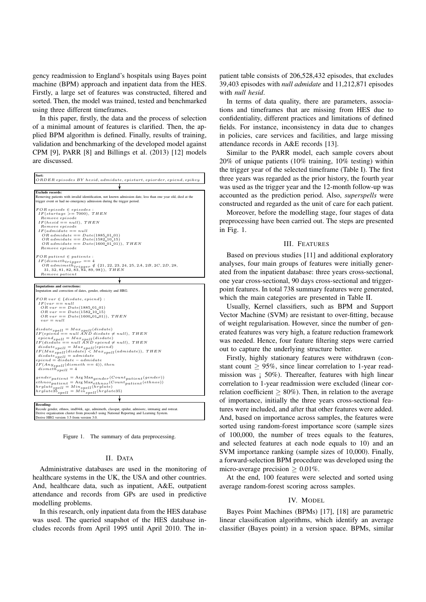gency readmission to England's hospitals using Bayes point machine (BPM) approach and inpatient data from the HES. Firstly, a large set of features was constructed, filtered and sorted. Then, the model was trained, tested and benchmarked using three different timeframes.

In this paper, firstly, the data and the process of selection of a minimal amount of features is clarified. Then, the applied BPM algorithm is defined. Finally, results of training, validation and benchmarking of the developed model against CPM [9], PARR [8] and Billings et al. (2013) [12] models are discussed.

| Sort:<br>$ORDER$ episodes $BY$ hesid, admidate, epistart, epiorder, epiend, epikey                                                                                                                                                                                                                                                                                                                                                                |
|---------------------------------------------------------------------------------------------------------------------------------------------------------------------------------------------------------------------------------------------------------------------------------------------------------------------------------------------------------------------------------------------------------------------------------------------------|
|                                                                                                                                                                                                                                                                                                                                                                                                                                                   |
| <b>Exclude records:</b><br>Removing patients with invalid identification, not known admission date, less than one year old, died at the<br>trigger event or had no emergency admission during the trigger period.                                                                                                                                                                                                                                 |
| $FOR$ episode $\in$ episodes :<br>$IF(statage >= 7000), THEN$<br>Remove episode<br>$IF(head == null), THEN$<br>Remove episode<br>$IF(admidate == null$<br>$OR admidente == Date(1885_01_01)$<br>$OR admidente == Date(1582_10_15)$<br>$OR admidente == Date(1600_01_01)), THEN$<br>Remove episode                                                                                                                                                 |
| $FOR\; patient \in patients:$<br>$IF(dismeth_{triangle} = 4$<br>OR admimeth <sub>trigger</sub> $\notin$ {21, 22, 23, 24, 25, 2A, 2B, 2C, 2D, 28,<br>$31, 32, 81, 82, 83, 84, 89, 98$ }), $THEN$<br>Remove patient                                                                                                                                                                                                                                 |
|                                                                                                                                                                                                                                                                                                                                                                                                                                                   |
| <b>Imputations and corrections:</b><br>Imputation and correction of dates, gender, ethnicity and HRG.                                                                                                                                                                                                                                                                                                                                             |
| $FOR \text{ var } \in \{distance, \text{epi} \}.$<br>$IF(var == null$<br>$OR \, var == Date(1885_01_01)$<br>$OR \, var == Date(1582\_10\_15)$<br>$OR \, var == Date(1600\_01\_01)), \, THEN$<br>$var = null$                                                                                                                                                                                                                                      |
| $disdate_{spell} = Max_{spell}(disdate)$<br>$IF(epiend == null AND\ distance \neq null),\ THEN$<br>$epiendspell = Maxspell(disdate)$<br>$IF(disd\hat{ate} == null \land ND \; epid \ne null), \; THEN$<br>$disdate_{spell} = Max_{spell}(epiend)$<br>$IF(Max_{spell}(distance) < Max_{spell}(admiddle)), \ THEN$<br>$disdate_{spell} = admidente$<br>$epiend = disdate - admidate$<br>$IF(Any_{spell}(dismeth == 4)), then$<br>$dismethspell = 4$ |
| $\mathit{gender}\$ $\mathit{patient} = \mathrm{Arg}\, \mathrm{Max}_{\mathit{gender}}(Count_{\mathit{patient}}(\mathit{gender}))$<br>$ethnos_{patient} = \text{Arg Max}_{ethnos}(Count_{patient}(ethnos))$<br>$hrglate_{spell} = Min_{spell}(hrglate)$<br>$hrglate35_{spell} = Mi\dot{n}_{spell}(hrglate35)$                                                                                                                                       |
|                                                                                                                                                                                                                                                                                                                                                                                                                                                   |
| <b>Recoding:</b><br>Recode gender, ethnos, imd04rk, age, admimeth, classpat, epidur, admisorc, intmanig and rotreat.<br>Derive organisation cluster from procode3 using National Reporting and Learning System.<br>Derive HRG version 3.5 from version 3.0.                                                                                                                                                                                       |

Figure 1. The summary of data preprocessing.

### II. DATA

Administrative databases are used in the monitoring of healthcare systems in the UK, the USA and other countries. And, healthcare data, such as inpatient, A&E, outpatient attendance and records from GPs are used in predictive modelling problems.

In this research, only inpatient data from the HES database was used. The queried snapshot of the HES database includes records from April 1995 until April 2010. The in-

patient table consists of 206,528,432 episodes, that excludes 39,403 episodes with *null admidate* and 11,212,871 episodes with *null hesid*.

In terms of data quality, there are parameters, associations and timeframes that are missing from HES due to confidentiality, different practices and limitations of defined fields. For instance, inconsistency in data due to changes in policies, care services and facilities, and large missing attendance records in A&E records [13].

Similar to the PARR model, each sample covers about 20% of unique patients (10% training, 10% testing) within the trigger year of the selected timeframe (Table I). The first three years was regarded as the prior history, the fourth year was used as the trigger year and the 12-month follow-up was accounted as the prediction period. Also, *superspells* were constructed and regarded as the unit of care for each patient.

Moreover, before the modelling stage, four stages of data preprocessing have been carried out. The steps are presented in Fig. 1.

#### III. FEATURES

Based on previous studies [11] and additional exploratory analyses, four main groups of features were initially generated from the inpatient database: three years cross-sectional, one year cross-sectional, 90 days cross-sectional and triggerpoint features. In total 738 summary features were generated, which the main categories are presented in Table II.

Usually, Kernel classifiers, such as BPM and Support Vector Machine (SVM) are resistant to over-fitting, because of weight regularisation. However, since the number of generated features was very high, a feature reduction framework was needed. Hence, four feature filtering steps were carried out to capture the underlying structure better.

Firstly, highly stationary features were withdrawn (constant count  $\geq 95\%$ , since linear correlation to 1-year readmission was ; 50%). Thereafter, features with high linear correlation to 1-year readmission were excluded (linear correlation coefficient  $\geq 80\%$ ). Then, in relation to the average of importance, initially the three years cross-sectional features were included, and after that other features were added. And, based on importance across samples, the features were sorted using random-forest importance score (sample sizes of 100,000, the number of trees equals to the features, and selected features at each node equals to 10) and an SVM importance ranking (sample sizes of 10,000). Finally, a forward-selection BPM procedure was developed using the micro-average precision  $\geq 0.01\%$ .

At the end, 100 features were selected and sorted using average random-forest scoring across samples.

#### IV. MODEL

Bayes Point Machines (BPMs) [17], [18] are parametric linear classification algorithms, which identify an average classifier (Bayes point) in a version space. BPMs, similar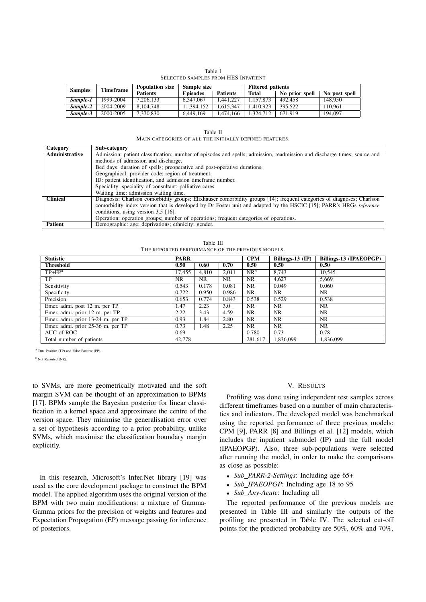|  | Table I                             |  |
|--|-------------------------------------|--|
|  | SELECTED SAMPLES FROM HES INPATIENT |  |

| <b>Samples</b> |          | Timeframe | <b>Population size</b> | Sample size     |                 | <b>Filtered patients</b> |                |               |  |  |
|----------------|----------|-----------|------------------------|-----------------|-----------------|--------------------------|----------------|---------------|--|--|
|                |          |           | <b>Patients</b>        | <b>Episodes</b> | <b>Patients</b> | Total                    | No prior spell | No post spell |  |  |
| Sample-1       |          | 1999-2004 | 7.206.133              | 6.347.067       | 1.441.227       | 1.157.873                | 492.458        | 148.950       |  |  |
|                | Sample-2 | 2004-2009 | 8.104.748              | 11.394.152      | 1.615.347       | 1.410.923                | 395.522        | 10.961        |  |  |
|                | Sample-3 | 2000-2005 | 7.370.830              | 6.449.169       | 1.474.166       | 1.324.712                | 671.919        | 194,097       |  |  |

| .<br>۰.<br>$\sim$ |
|-------------------|

| Category        | Sub-category                                                                                                             |
|-----------------|--------------------------------------------------------------------------------------------------------------------------|
| Administrative  | Admission: patient classification; number of episodes and spells; admission, readmission and discharge times; source and |
|                 | methods of admission and discharge.                                                                                      |
|                 | Bed days: duration of spells; preoperative and post-operative durations.                                                 |
|                 | Geographical: provider code; region of treatment.                                                                        |
|                 | ID: patient identification, and admission timeframe number.                                                              |
|                 | Speciality: speciality of consultant; palliative cares.                                                                  |
|                 | Waiting time: admission waiting time.                                                                                    |
| <b>Clinical</b> | Diagnosis: Charlson comorbidity groups; Elixhauser comorbidity groups [14]; frequent categories of diagnoses; Charlson   |
|                 | comorbidity index version that is developed by Dr Foster unit and adapted by the HSCIC [15]; PARR's HRGs reference       |
|                 | conditions, using version 3.5 [16].                                                                                      |
|                 | Operation: operation groups; number of operations; frequent categories of operations.                                    |
| <b>Patient</b>  | Demographic: age; deprivations; ethnicity; gender.                                                                       |

| Table III                                        |  |
|--------------------------------------------------|--|
| THE REPORTED PERFORMANCE OF THE PREVIOUS MODELS. |  |

| <b>Statistic</b>                  | <b>PARR</b> |       | CPM       | Billings-13 $(\mathbb{P})$ | Billings-13 (IPAEOPGP) |           |
|-----------------------------------|-------------|-------|-----------|----------------------------|------------------------|-----------|
| <b>Threshold</b>                  | 0.50        | 0.60  | 0.70      | 0.50                       | 0.50                   | 0.50      |
| $TP + FPa$                        | 17,455      | 4.810 | 2.011     | $NR^b$                     | 8.743                  | 10,545    |
| TP                                | <b>NR</b>   | NR.   | <b>NR</b> | NR.                        | 4,627                  | 5,669     |
| Sensitivity                       | 0.543       | 0.178 | 0.081     | NR                         | 0.049                  | 0.060     |
| Specificity                       | 0.722       | 0.950 | 0.986     | NR.                        | NR                     | NR        |
| Precision                         | 0.653       | 0.774 | 0.843     | 0.538                      | 0.529                  | 0.538     |
| Emer. admi. post 12 m. per TP     | 1.47        | 2.23  | 3.0       | NR.                        | NR.                    | NR.       |
| Emer. admi. prior 12 m. per TP    | 2.22        | 3.43  | 4.59      | NR.                        | <b>NR</b>              | <b>NR</b> |
| Emer. admi. prior 13-24 m. per TP | 0.93        | 1.84  | 2.80      | NR                         | NR.                    | <b>NR</b> |
| Emer. admi. prior 25-36 m. per TP | 0.73        | 1.48  | 2.25      | NR.                        | NR                     | NR        |
| AUC of ROC                        | 0.69        |       |           | 0.780                      | 0.73                   | 0.78      |
| Total number of patients          | 42,778      |       |           | 281,617                    | 1,836,099              | 1,836,099 |

a True Positive (TP) and False Positive (FP).

b Not Reported (NR).

to SVMs, are more geometrically motivated and the soft margin SVM can be thought of an approximation to BPMs [17]. BPMs sample the Bayesian posterior for linear classification in a kernel space and approximate the centre of the version space. They minimise the generalisation error over a set of hypothesis according to a prior probability, unlike SVMs, which maximise the classification boundary margin explicitly.

In this research, Microsoft's Infer.Net library [19] was used as the core development package to construct the BPM model. The applied algorithm uses the original version of the BPM with two main modifications: a mixture of Gamma-Gamma priors for the precision of weights and features and Expectation Propagation (EP) message passing for inference of posteriors.

#### V. RESULTS

Profiling was done using independent test samples across different timeframes based on a number of main characteristics and indicators. The developed model was benchmarked using the reported performance of three previous models: CPM [9], PARR [8] and Billings et al. [12] models, which includes the inpatient submodel (IP) and the full model (IPAEOPGP). Also, three sub-populations were selected after running the model, in order to make the comparisons as close as possible:

- *• Sub PARR-2-Settings*: Including age 65+
- *Sub\_IPAEOPGP*: Including age 18 to 95
- *• Sub Any-Acute*: Including all

The reported performance of the previous models are presented in Table III and similarly the outputs of the profiling are presented in Table IV. The selected cut-off points for the predicted probability are 50%, 60% and 70%,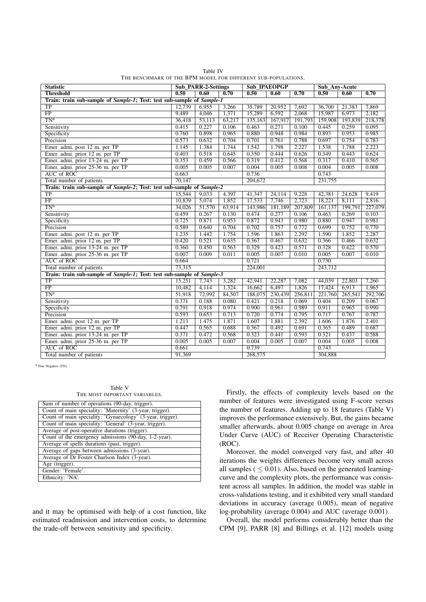| <b>Statistic</b>                                                       | <b>Sub PARR-2-Settings</b> |        |        | <b>Sub_IPAEOPGP</b> |         |         | Sub Any-Acute |         |         |
|------------------------------------------------------------------------|----------------------------|--------|--------|---------------------|---------|---------|---------------|---------|---------|
| <b>Threshold</b>                                                       | 0.50                       | 0.60   | 0.70   | 0.50                | 0.60    | 0.70    | 0.50          | 0.60    | 0.70    |
| Train: train sub-sample of Sample-1; Test: test sub-sample of Sample-1 |                            |        |        |                     |         |         |               |         |         |
| $\overline{\text{TP}}$                                                 | 12.739                     | 6.955  | 3,266  | 35,789              | 20,952  | 7,692   | 36,700        | 21,383  | 7.869   |
| $\overline{FP}$                                                        | 9,489                      | 4,046  | 1,371  | 15,289              | 6,592   | 2.068   | 15,987        | 6,973   | 2,182   |
| $TN^a$                                                                 | 36,418                     | 53,113 | 63,217 | 135,163             | 167,917 | 191,793 | 159,908       | 193,839 | 218,378 |
| Sensitivity                                                            | 0.415                      | 0.227  | 0.106  | 0.463               | 0.271   | 0.100   | 0.445         | 0.259   | 0.095   |
| Specificity                                                            | 0.760                      | 0.898  | 0.965  | 0.880               | 0.948   | 0.984   | 0.893         | 0.953   | 0.985   |
| Precision                                                              | 0.573                      | 0.632  | 0.704  | 0.701               | 0.761   | 0.788   | 0.697         | 0.754   | 0.783   |
| Emer. admi. post 12 m. per TP                                          | 1.145                      | 1.384  | 1.744  | 1.542               | 1.798   | 2.227   | 1.538         | 1.788   | 2.223   |
| Emer. admi. prior 12 m. per TP                                         | 0.403                      | 0.518  | 0.645  | 0.350               | 0.444   | 0.626   | 0.349         | 0.443   | 0.624   |
| Emer. admi. prior 13-24 m. per TP                                      | 0.353                      | 0.459  | 0.566  | 0.319               | 0.412   | 0.568   | 0.317         | 0.410   | 0.565   |
| Emer. admi. prior 25-36 m. per TP                                      | 0.005                      | 0.005  | 0.007  | 0.004               | 0.005   | 0.008   | 0.004         | 0.005   | 0.008   |
| <b>AUC</b> of ROC                                                      | 0.663                      |        |        | 0.736               |         |         | 0.743         |         |         |
| Total number of patients                                               | 70,147                     |        |        | 204,672             |         |         | 231,755       |         |         |
| Train: train sub-sample of Sample-2; Test: test sub-sample of Sample-2 |                            |        |        |                     |         |         |               |         |         |
| <b>TP</b>                                                              | 15,544                     | 9,033  | 4,397  | 41,347              | 24,114  | 9,228   | 42,381        | 24,628  | 9,419   |
| FP                                                                     | 10,839                     | 5,074  | 1,852  | 17,533              | 7,746   | 2,723   | 18,221        | 8,111   | 2,816   |
| TN <sup>a</sup>                                                        | 34,026                     | 51,570 | 63,914 | 143,986             | 181,189 | 207,809 | 161.137       | 199,791 | 227,079 |
| Sensitivity                                                            | 0.459                      | 0.267  | 0.130  | 0.474               | 0.277   | 0.106   | 0.463         | 0.269   | 0.103   |
| Specificity                                                            | 0.725                      | 0.871  | 0.953  | 0.872               | 0.943   | 0.980   | 0.880         | 0.947   | 0.981   |
| Precision                                                              | 0.589                      | 0.640  | 0.704  | 0.702               | 0.757   | 0.772   | 0.699         | 0.752   | 0.770   |
| Emer. admi. post 12 m. per TP                                          | 1.235                      | 1.442  | 1.754  | 1.596               | 1.863   | 2.292   | 1.590         | 1.852   | 2.287   |
| Emer. admi. prior 12 m. per TP                                         | 0.420                      | 0.521  | 0.635  | 0.367               | 0.467   | 0.632   | 0.366         | 0.466   | 0.632   |
| Emer. admi. prior 13-24 m. per TP                                      | 0.360                      | 0.450  | 0.563  | 0.329               | 0.423   | 0.571   | 0.328         | 0.422   | 0.570   |
| Emer. admi. prior 25-36 m. per TP                                      | 0.007                      | 0.009  | 0.011  | 0.005               | 0.007   | 0.010   | 0.005         | 0.007   | 0.010   |
| <b>AUC</b> of ROC                                                      | 0.664                      |        |        | 0.721               |         | 0.730   |               |         |         |
| Total number of patients                                               | 73.315                     |        |        | 224,001             |         |         | 243,712       |         |         |
| Train: train sub-sample of Sample-1; Test: test sub-sample of Sample-3 |                            |        |        |                     |         |         |               |         |         |
| TP                                                                     | 15,251                     | 7,743  | 3,282  | 42,941              | 22,287  | 7,082   | 44,039        | 22,803  | 7,260   |
| $\overline{FP}$                                                        | 10,482                     | 4,114  | 1,324  | 16,662              | 6,497   | 1,826   | 17,424        | 6,913   | 1,965   |
| $TN^a$                                                                 | 51,918                     | 72,992 | 84,507 | 188,075             | 230,439 | 256,811 | 221,760       | 265,541 | 292,706 |
| Sensitivity                                                            | 0.371                      | 0.188  | 0.080  | 0.421               | 0.218   | 0.069   | 0.404         | 0.209   | 0.067   |
| Specificity                                                            | 0.791                      | 0.918  | 0.974  | 0.900               | 0.961   | 0.989   | 0.911         | 0.965   | 0.990   |
| Precision                                                              | 0.593                      | 0.653  | 0.713  | 0.720               | 0.774   | 0.795   | 0.717         | 0.767   | 0.787   |
| Emer. admi. post 12 m. per TP                                          | 1.213                      | 1.475  | 1.871  | 1.607               | 1.881   | 2.392   | 1.606         | 1.876   | 2.401   |
| Emer. admi. prior 12 m. per TP                                         | 0.447                      | 0.565  | 0.688  | 0.367               | 0.492   | 0.691   | 0.365         | 0.489   | 0.687   |
| Emer. admi. prior 13-24 m. per TP                                      | 0.371                      | 0.472  | 0.568  | 0.323               | 0.441   | 0.593   | 0.321         | 0.437   | 0.588   |
| Emer. admi. prior 25-36 m. per TP                                      | 0.005                      | 0.005  | 0.007  | 0.004               | 0.005   | 0.007   | 0.004         | 0.005   | 0.008   |
| <b>AUC</b> of ROC                                                      | 0.661                      |        |        | 0.739               |         |         | 0.743         |         |         |
| Total number of patients                                               | 91,369                     |        |        | 268,575             |         |         | 304,888       |         |         |

Table IV THE BENCHMARK OF THE BPM MODEL FOR DIFFERENT SUB-POPULATIONS.

a True Negative (TN).

Table V THE MOST IMPORTANT VARIABLES.

| Sum of number of operations (90-day, trigger).             |
|------------------------------------------------------------|
| Count of main speciality: 'Maternity' (3-year, trigger).   |
| Count of main speciality: 'Gynaecology' (3-year, trigger). |
| Count of main speciality: 'General' (3-year, trigger).     |
| Average of post-operative durations (trigger).             |
| Count of the emergency admissions (90-day, 1-2-year).      |
| Average of spells durations (past, trigger).               |
| Average of gaps between admissions (3-year).               |
| Average of Dr Foster Charlson Index (3-year).              |
| Age (trigger).                                             |
| Gender: 'Female'.                                          |
| Ethnicity: 'NA'.                                           |

and it may be optimised with help of a cost function, like estimated readmission and intervention costs, to determine the trade-off between sensitivity and specificity.

Firstly, the effects of complexity levels based on the number of features were investigated using F-score versus the number of features. Adding up to 18 features (Table V) improves the performance extensively. But, the gains became smaller afterwards, about 0.005 change on average in Area Under Curve (AUC) of Receiver Operating Characteristic (ROC).

Moreover, the model converged very fast, and after 40 iterations the weights differences become very small across all samples  $( $0.01$ ). Also, based on the generated learning$ curve and the complexity plots, the performance was consistent across all samples. In addition, the model was stable in cross-validations testing, and it exhibited very small standard deviations in accuracy (average 0.005), mean of negative log-probability (average 0.004) and AUC (average 0.001).

Overall, the model performs considerably better than the CPM [9], PARR [8] and Billings et al. [12] models using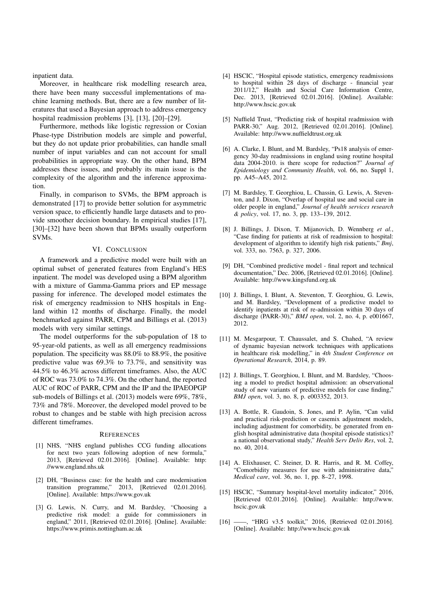inpatient data.

Moreover, in healthcare risk modelling research area, there have been many successful implementations of machine learning methods. But, there are a few number of literatures that used a Bayesian approach to address emergency hospital readmission problems [3], [13], [20]–[29].

Furthermore, methods like logistic regression or Coxian Phase-type Distribution models are simple and powerful, but they do not update prior probabilities, can handle small number of input variables and can not account for small probabilities in appropriate way. On the other hand, BPM addresses these issues, and probably its main issue is the complexity of the algorithm and the inference approximation.

Finally, in comparison to SVMs, the BPM approach is demonstrated [17] to provide better solution for asymmetric version space, to efficiently handle large datasets and to provide smoother decision boundary. In empirical studies [17], [30]–[32] have been shown that BPMs usually outperform SVMs.

### VI. CONCLUSION

A framework and a predictive model were built with an optimal subset of generated features from England's HES inpatient. The model was developed using a BPM algorithm with a mixture of Gamma-Gamma priors and EP message passing for inference. The developed model estimates the risk of emergency readmission to NHS hospitals in England within 12 months of discharge. Finally, the model benchmarked against PARR, CPM and Billings et al. (2013) models with very similar settings.

The model outperforms for the sub-population of 18 to 95-year-old patients, as well as all emergency readmissions population. The specificity was 88.0% to 88.9%, the positive predictive value was 69.3% to 73.7%, and sensitivity was 44.5% to 46.3% across different timeframes. Also, the AUC of ROC was 73.0% to 74.3%. On the other hand, the reported AUC of ROC of PARR, CPM and the IP and the IPAEOPGP sub-models of Billings et al. (2013) models were 69%, 78%, 73% and 78%. Moreover, the developed model proved to be robust to changes and be stable with high precision across different timeframes.

#### **REFERENCES**

- [1] NHS, "NHS england publishes CCG funding allocations for next two years following adoption of new formula," 2013, [Retrieved 02.01.2016]. [Online]. Available: http: //www.england.nhs.uk
- [2] DH, "Business case: for the health and care modernisation transition programme," 2013, [Retrieved 02.01.2016]. [Online]. Available: https://www.gov.uk
- [3] G. Lewis, N. Curry, and M. Bardsley, "Choosing a predictive risk model: a guide for commissioners in england," 2011, [Retrieved 02.01.2016]. [Online]. Available: https://www.primis.nottingham.ac.uk
- [4] HSCIC, "Hospital episode statistics, emergency readmissions to hospital within 28 days of discharge - financial year 2011/12," Health and Social Care Information Centre, Dec. 2013, [Retrieved 02.01.2016]. [Online]. Available: http://www.hscic.gov.uk
- [5] Nuffield Trust, "Predicting risk of hospital readmission with PARR-30," Aug. 2012, [Retrieved 02.01.2016]. [Online]. Available: http://www.nuffieldtrust.org.uk
- [6] A. Clarke, I. Blunt, and M. Bardsley, "Ps18 analysis of emergency 30-day readmissions in england using routine hospital data 2004-2010. is there scope for reduction?" *Journal of Epidemiology and Community Health*, vol. 66, no. Suppl 1, pp. A45–A45, 2012.
- [7] M. Bardsley, T. Georghiou, L. Chassin, G. Lewis, A. Steventon, and J. Dixon, "Overlap of hospital use and social care in older people in england," *Journal of health services research & policy*, vol. 17, no. 3, pp. 133–139, 2012.
- [8] J. Billings, J. Dixon, T. Mijanovich, D. Wennberg *et al.*, "Case finding for patients at risk of readmission to hospital: development of algorithm to identify high risk patients," *Bmj*, vol. 333, no. 7563, p. 327, 2006.
- [9] DH, "Combined predictive model final report and technical documentation," Dec. 2006, [Retrieved 02.01.2016]. [Online]. Available: http://www.kingsfund.org.uk
- [10] J. Billings, I. Blunt, A. Steventon, T. Georghiou, G. Lewis, and M. Bardsley, "Development of a predictive model to identify inpatients at risk of re-admission within 30 days of discharge (PARR-30)," *BMJ open*, vol. 2, no. 4, p. e001667, 2012.
- [11] M. Mesgarpour, T. Chaussalet, and S. Chahed, "A review of dynamic bayesian network techniques with applications in healthcare risk modelling," in *4th Student Conference on Operational Research*, 2014, p. 89.
- [12] J. Billings, T. Georghiou, I. Blunt, and M. Bardsley, "Choosing a model to predict hospital admission: an observational study of new variants of predictive models for case finding," *BMJ open*, vol. 3, no. 8, p. e003352, 2013.
- [13] A. Bottle, R. Gaudoin, S. Jones, and P. Aylin, "Can valid and practical risk-prediction or casemix adjustment models, including adjustment for comorbidity, be generated from english hospital administrative data (hospital episode statistics)? a national observational study," *Health Serv Deliv Res*, vol. 2, no. 40, 2014.
- [14] A. Elixhauser, C. Steiner, D. R. Harris, and R. M. Coffey, "Comorbidity measures for use with administrative data," *Medical care*, vol. 36, no. 1, pp. 8–27, 1998.
- [15] HSCIC, "Summary hospital-level mortality indicator," 2016, [Retrieved 02.01.2016]. [Online]. Available: http://www. hscic.gov.uk
- [16] ——, "HRG v3.5 toolkit," 2016, [Retrieved 02.01.2016]. [Online]. Available: http://www.hscic.gov.uk